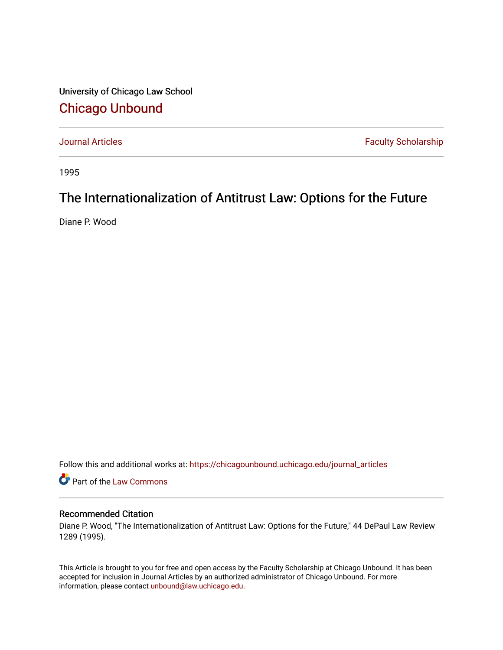University of Chicago Law School [Chicago Unbound](https://chicagounbound.uchicago.edu/)

[Journal Articles](https://chicagounbound.uchicago.edu/journal_articles) **Faculty Scholarship Faculty Scholarship** 

1995

# The Internationalization of Antitrust Law: Options for the Future

Diane P. Wood

Follow this and additional works at: [https://chicagounbound.uchicago.edu/journal\\_articles](https://chicagounbound.uchicago.edu/journal_articles?utm_source=chicagounbound.uchicago.edu%2Fjournal_articles%2F2040&utm_medium=PDF&utm_campaign=PDFCoverPages) 

Part of the [Law Commons](http://network.bepress.com/hgg/discipline/578?utm_source=chicagounbound.uchicago.edu%2Fjournal_articles%2F2040&utm_medium=PDF&utm_campaign=PDFCoverPages)

## Recommended Citation

Diane P. Wood, "The Internationalization of Antitrust Law: Options for the Future," 44 DePaul Law Review 1289 (1995).

This Article is brought to you for free and open access by the Faculty Scholarship at Chicago Unbound. It has been accepted for inclusion in Journal Articles by an authorized administrator of Chicago Unbound. For more information, please contact [unbound@law.uchicago.edu](mailto:unbound@law.uchicago.edu).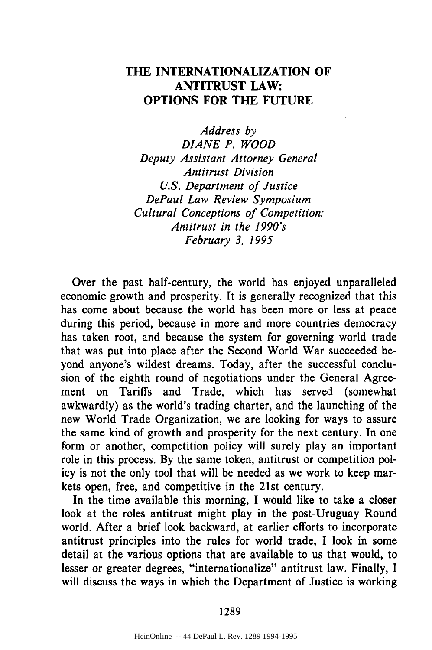# **THE INTERNATIONALIZATION OF ANTITRUST LAW: OPTIONS FOR THE FUTURE**

*Address by DIANE P. WOOD Deputy Assistant Attorney General Antitrust Division U.S. Department of Justice DePaul Law Review Symposium Cultural Conceptions of Competition: Antitrust in the 1990's February 3, 1995*

Over the past half-century, the world has enjoyed unparalleled economic growth and prosperity. It is generally recognized that this has come about because the world has been more or less at peace during this period, because in more and more countries democracy has taken root, and because the system for governing world trade that was put into place after the Second World War succeeded beyond anyone's wildest dreams. Today, after the successful conclusion of the eighth round of negotiations under the General Agreement on Tariffs and Trade, which has served (somewhat awkwardly) as the world's trading charter, and the launching of the new World Trade Organization, we are looking for ways to assure the same kind of growth and prosperity for the next century. In one form or another, competition policy will surely play an important role in this process. **By** the same token, antitrust or competition policy is not the only tool that will be needed as we work to keep markets open, free, and competitive in the 21st century.

In the time available this morning, I would like to take a closer look at the roles antitrust might play in the post-Uruguay Round world. After a brief look backward, at earlier efforts to incorporate antitrust principles into the rules for world trade, I look in some detail at the various options that are available to us that would, to lesser or greater degrees, "internationalize" antitrust law. Finally, I will discuss the ways in which the Department of Justice is working

1289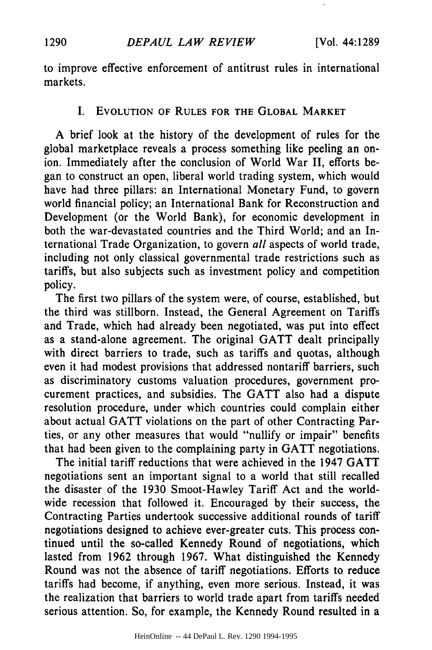to improve effective enforcement of antitrust rules in international markets.

#### **I.** EVOLUTION OF **RULES** FOR THE GLOBAL MARKET

A brief look at the history of the development of rules for the global marketplace reveals a process something like peeling an onion. Immediately after the conclusion of World War II, efforts began to construct an open, liberal world trading system, which would have had three pillars: an International Monetary Fund, to govern world financial policy; an International Bank for Reconstruction and Development (or the World Bank), for economic development in both the war-devastated countries and the Third World; and an International Trade Organization, to govern *all* aspects of world trade, including not only classical governmental trade restrictions such as tariffs, but also subjects such as investment policy and competition policy.

The first two pillars of the system were, of course, established, but the third was stillborn. Instead, the General Agreement on Tariffs and Trade, which had already been negotiated, was put into effect as a stand-alone agreement. The original GATT dealt principally with direct barriers to trade, such as tariffs and quotas, although even it had modest provisions that addressed nontariff barriers, such as discriminatory customs valuation procedures, government procurement practices, and subsidies. The GATT also had a dispute resolution procedure, under which countries could complain either about actual GATT violations on the part of other Contracting Parties, or any other measures that would "nullify or impair" benefits that had been given to the complaining party in GATT negotiations.

The initial tariff reductions that were achieved in the 1947 GATT negotiations sent an important signal to a world that still recalled the disaster of the 1930 Smoot-Hawley Tariff Act and the worldwide recession that followed it. Encouraged by their success, the Contracting Parties undertook successive additional rounds of tariff negotiations designed to achieve ever-greater cuts. This process continued until the so-called Kennedy Round of negotiations, which lasted from 1962 through 1967. What distinguished the Kennedy Round was not the absence of tariff negotiations. Efforts to reduce tariffs had become, if anything, even more serious. Instead, it was the realization that barriers to world trade apart from tariffs needed serious attention. So, for example, the Kennedy Round resulted in a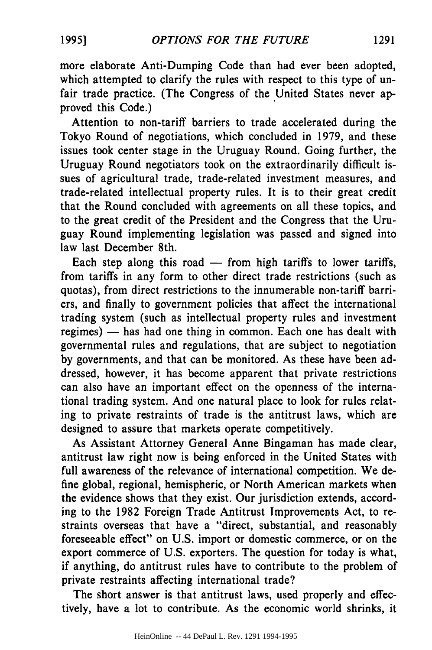more elaborate Anti-Dumping Code than had ever been adopted, which attempted to clarify the rules with respect to this type of unfair trade practice. (The Congress of the United States never approved this Code.)

Attention to non-tariff barriers to trade accelerated during the Tokyo Round of negotiations, which concluded in 1979, and these issues took center stage in the Uruguay Round. Going further, the Uruguay Round negotiators took on the extraordinarily difficult issues of agricultural trade, trade-related investment measures, and trade-related intellectual property rules. It is to their great credit that the Round concluded with agreements on all these topics, and to the great credit of the President and the Congress that the Uruguay Round implementing legislation was passed and signed into law last December 8th.

Each step along this road  $-$  from high tariffs to lower tariffs, from tariffs in any form to other direct trade restrictions (such as quotas), from direct restrictions to the innumerable non-tariff barriers, and finally to government policies that affect the international trading system (such as intellectual property rules and investment regimes) - has had one thing in common. Each one has dealt with governmental rules and regulations, that are subject to negotiation by governments, and that can be monitored. As these have been addressed, however, it has become apparent that private restrictions can also have an important effect on the openness of the international trading system. And one natural place to look for rules relating to private restraints of trade is the antitrust laws, which are designed to assure that markets operate competitively.

As Assistant Attorney General Anne Bingaman has made clear, antitrust law right now is being enforced in the United States with full awareness of the relevance of international competition. We define global, regional, hemispheric, or North American markets when the evidence shows that they exist. Our jurisdiction extends, according to the 1982 Foreign Trade Antitrust Improvements Act, to restraints overseas that have a "direct, substantial, and reasonably foreseeable effect" on U.S. import or domestic commerce, or on the export commerce of U.S. exporters. The question for today is what, if anything, do antitrust rules have to contribute to the problem of private restraints affecting international trade?

The short answer is that antitrust laws, used properly and effectively, have a lot to contribute. As the economic world shrinks, it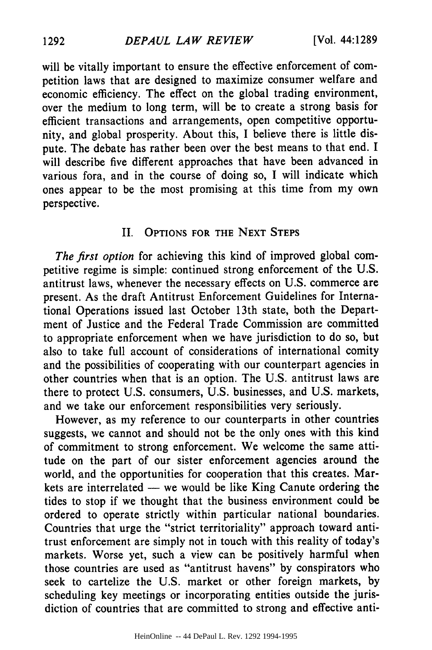will be vitally important to ensure the effective enforcement of competition laws that are designed to maximize consumer welfare and economic efficiency. The effect on the global trading environment, over the medium to long term, will be to create a strong basis for efficient transactions and arrangements, open competitive opportunity, and global prosperity. About this, I believe there is little dispute. The debate has rather been over the best means to that end. I will describe five different approaches that have been advanced in various fora, and in the course of doing so, I will indicate which ones appear to be the most promising at this time from my own perspective.

### II. OPTIONS FOR THE **NEXT STEPS**

*The first option* for achieving this kind of improved global competitive regime is simple: continued strong enforcement of the U.S. antitrust laws, whenever the necessary effects on U.S. commerce are present. As the draft Antitrust Enforcement Guidelines for International Operations issued last October 13th state, both the Department of Justice and the Federal Trade Commission are committed to appropriate enforcement when we have jurisdiction to do so, but also to take full account of considerations of international comity and the possibilities of cooperating with our counterpart agencies in other countries when that is an option. The U.S. antitrust laws are there to protect U.S. consumers, U.S. businesses, and U.S. markets, and we take our enforcement responsibilities very seriously.

However, as my reference to our counterparts in other countries suggests, we cannot and should not be the only ones with this kind of commitment to strong enforcement. We welcome the same attitude on the part of our sister enforcement agencies around the world, and the opportunities for cooperation that this creates. Markets are interrelated  $-$  we would be like King Canute ordering the tides to stop if we thought that the business environment could be ordered to operate strictly within particular national boundaries. Countries that urge the "strict territoriality" approach toward antitrust enforcement are simply not in touch with this reality of today's markets. Worse yet, such a view can be positively harmful when those countries are used as "antitrust havens" by conspirators who seek to cartelize the U.S. market or other foreign markets, by scheduling key meetings or incorporating entities outside the jurisdiction of countries that are committed to strong and effective anti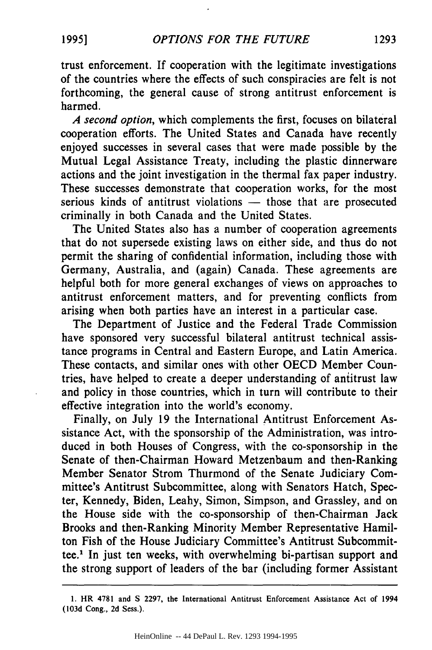trust enforcement. If cooperation with the legitimate investigations of the countries where the effects of such conspiracies are felt is not forthcoming, the general cause of strong antitrust enforcement is harmed.

*A second option,* which complements the first, focuses on bilateral cooperation efforts. The United States and Canada have recently enjoyed successes in several cases that were made possible **by** the Mutual Legal Assistance Treaty, including the plastic dinnerware actions and the joint investigation in the thermal fax paper industry. These successes demonstrate that cooperation works, for the most serious kinds of antitrust violations — those that are prosecuted criminally in both Canada and the United States.

The United States also has a number of cooperation agreements that do not supersede existing laws on either side, and thus do not permit the sharing of confidential information, including those with Germany, Australia, and (again) Canada. These agreements are helpful both for more general exchanges of views on approaches to antitrust enforcement matters, and for preventing conflicts from arising when both parties have an interest in a particular case.

The Department of Justice and the Federal Trade Commission have sponsored very successful bilateral antitrust technical assistance programs in Central and Eastern Europe, and Latin America. These contacts, and similar ones with other OECD Member Countries, have helped to create a deeper understanding of antitrust law and policy in those countries, which in turn will contribute to their effective integration into the world's economy.

Finally, on July 19 the International Antitrust Enforcement Assistance Act, with the sponsorship of the Administration, was introduced in both Houses of Congress, with the co-sponsorship in the Senate of then-Chairman Howard Metzenbaum and then-Ranking Member Senator Strom Thurmond of the Senate Judiciary Committee's Antitrust Subcommittee, along with Senators Hatch, Specter, Kennedy, Biden, Leahy, Simon, Simpson, and Grassley, and on the House side with the co-sponsorship of then-Chairman Jack Brooks and then-Ranking Minority Member Representative Hamilton Fish of the House Judiciary Committee's Antitrust Subcommittee.' In just ten weeks, with overwhelming bi-partisan support and the strong support of leaders of the bar (including former Assistant

**<sup>1.</sup>** HR **4781** and **S 2297, the** International Antitrust Enforcement Assistance **Act** of **1994 (103d** Cong., **2d** Sess.).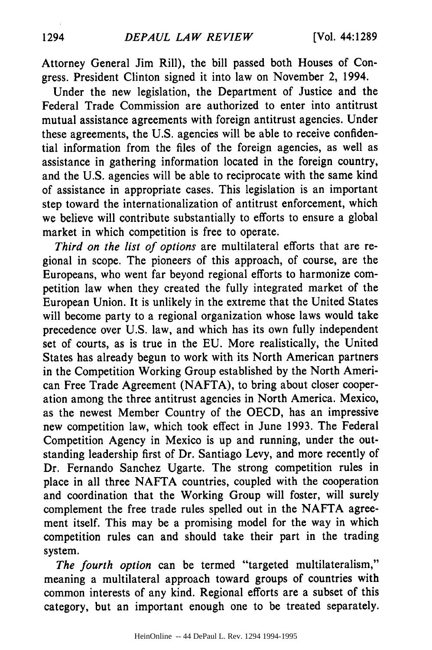Attorney General Jim Rill), the bill passed both Houses of Congress. President Clinton signed it into law on November 2, 1994.

Under the new legislation, the Department of Justice and the Federal Trade Commission are authorized to enter into antitrust mutual assistance agreements with foreign antitrust agencies. Under these agreements, the **U.S.** agencies will be able to receive confidential information from the files of the foreign agencies, as well as assistance in gathering information located in the foreign country, and the **U.S.** agencies will be able to reciprocate with the same kind of assistance in appropriate cases. This legislation is an important step toward the internationalization of antitrust enforcement, which we believe will contribute substantially to efforts to ensure a global market in which competition is free to operate.

*Third on the list of options* are multilateral efforts that are regional in scope. The pioneers of this approach, of course, are the Europeans, who went far beyond regional efforts to harmonize competition law when they created the fully integrated market of the European Union. It is unlikely in the extreme that the United States will become party to a regional organization whose laws would take precedence over **U.S.** law, and which has its own fully independent set of courts, as is true in the **EU.** More realistically, the United States has already begun to work with its North American partners in the Competition Working Group established **by** the North American Free Trade Agreement **(NAFTA),** to bring about closer cooperation among the three antitrust agencies in North America. Mexico, as the newest Member Country of the **OECD,** has an impressive new competition law, which took effect in June **1993.** The Federal Competition Agency in Mexico is up and running, under the outstanding leadership first of Dr. Santiago Levy, and more recently of Dr. Fernando Sanchez Ugarte. The strong competition rules in place in all three **NAFTA** countries, coupled with the cooperation and coordination that the Working Group will foster, will surely complement the free trade rules spelled out in the **NAFTA** agreement itself. This may be a promising model for the way in which competition rules can and should take their part in the trading system.

*The fourth option* can be termed "targeted multilateralism," meaning a multilateral approach toward groups of countries with common interests of any kind. Regional efforts are a subset of this category, but an important enough one to be treated separately.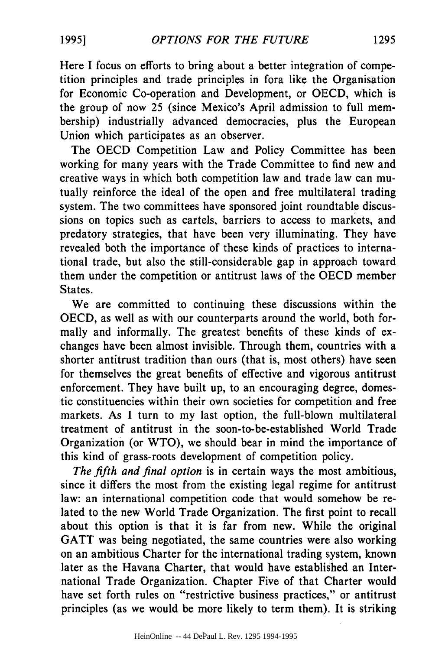Here I focus on efforts to bring about a better integration of competition principles and trade principles in fora like the Organisation for Economic Co-operation and Development, or OECD, which is the group of now 25 (since Mexico's April admission to full membership) industrially advanced democracies, plus the European Union which participates as an observer.

The OECD Competition Law and Policy Committee has been working for many years with the Trade Committee to find new and creative ways in which both competition law and trade law can mutually reinforce the ideal of the open and free multilateral trading system. The two committees have sponsored joint roundtable discussions on topics such as cartels, barriers to access to markets, and predatory strategies, that have been very illuminating. They have revealed both the importance of these kinds of practices to international trade, but also the still-considerable gap in approach toward them under the competition or antitrust laws of the OECD member States.

We are committed to continuing these discussions within the OECD, as well as with our counterparts around the world, both formally and informally. The greatest benefits of these kinds of exchanges have been almost invisible. Through them, countries with a shorter antitrust tradition than ours (that is, most others) have seen for themselves the great benefits of effective and vigorous antitrust enforcement. They have built up, to an encouraging degree, domestic constituencies within their own societies for competition and free markets. As I turn to my last option, the full-blown multilateral treatment of antitrust in the soon-to-be-established World Trade Organization (or WTO), we should bear in mind the importance of this kind of grass-roots development of competition policy.

*The fifth and final option* is in certain ways the most ambitious, since it differs the most from the existing legal regime for antitrust law: an international competition code that would somehow be related to the new World Trade Organization. The first point to recall about this option is that it is far from new. While the original GATT was being negotiated, the same countries were also working on an ambitious Charter for the international trading system, known later as the Havana Charter, that would have established an International Trade Organization. Chapter Five of that Charter would have set forth rules on "restrictive business practices," or antitrust principles (as we would be more likely to term them). It is striking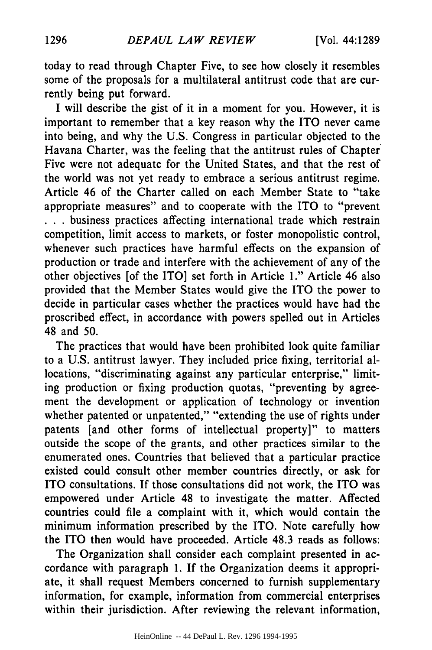today to read through Chapter Five, to see how closely it resembles some of the proposals for a multilateral antitrust code that are currently being put forward.

I will describe the gist of it in a moment for you. However, it is important to remember that a key reason why the ITO never came into being, and why the U.S. Congress in particular objected to the Havana Charter, was the feeling that the antitrust rules of Chapter Five were not adequate for the United States, and that the rest of the world was not yet ready to embrace a serious antitrust regime. Article 46 of the Charter called on each Member State to "take appropriate measures" and to cooperate with the ITO to "prevent **• . .** business practices affecting international trade which restrain competition, limit access to markets, or foster monopolistic control, whenever such practices have harmful effects on the expansion of production or trade and interfere with the achievement of any of the other objectives [of the ITO] set forth in Article 1." Article 46 also provided that the Member States would give the ITO the power to decide in particular cases whether the practices would have had the proscribed effect, in accordance with powers spelled out in Articles 48 and 50.

The practices that would have been prohibited look quite familiar to a U.S. antitrust lawyer. They included price fixing, territorial allocations, "discriminating against any particular enterprise," limiting production or fixing production quotas, "preventing by agreement the development or application of technology or invention whether patented or unpatented," "extending the use of rights under patents [and other forms of intellectual property]" to matters outside the scope of the grants, and other practices similar to the enumerated ones. Countries that believed that a particular practice existed could consult other member countries directly, or ask for ITO consultations. If those consultations did not work, the ITO was empowered under Article 48 to investigate the matter. Affected countries could file a complaint with it, which would contain the minimum information prescribed by the ITO. Note carefully how the ITO then would have proceeded. Article 48.3 reads as follows:

The Organization shall consider each complaint presented in accordance with paragraph 1. If the Organization deems it appropriate, it shall request Members concerned to furnish supplementary information, for example, information from commercial enterprises within their jurisdiction. After reviewing the relevant information,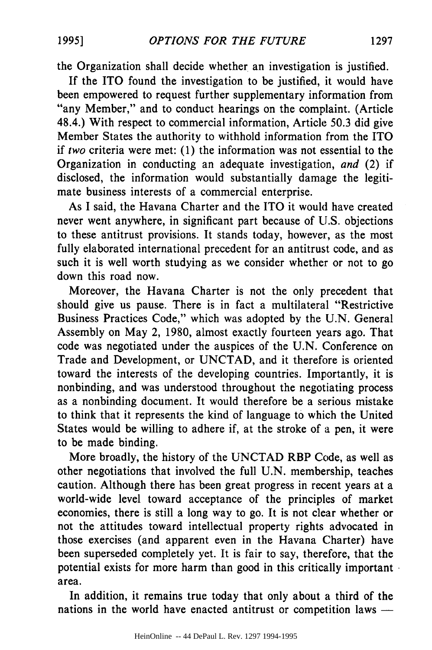the Organization shall decide whether an investigation is justified.

If the ITO found the investigation to be justified, it would have been empowered to request further supplementary information from "any Member," and to conduct hearings on the complaint. (Article 48.4.) With respect to commercial information, Article 50.3 did give Member States the authority to withhold information from the ITO if two criteria were met: (1) the information was not essential to the Organization in conducting an adequate investigation, *and* (2) if disclosed, the information would substantially damage the legitimate business interests of a commercial enterprise.

As I said, the Havana Charter and the ITO it would have created never went anywhere, in significant part because of **U.S.** objections to these antitrust provisions. It stands today, however, as the most fully elaborated international precedent for an antitrust code, and as such it is well worth studying as we consider whether or not to go down this road now.

Moreover, the Havana Charter is not the only precedent that should give us pause. There is in fact a multilateral "Restrictive Business Practices Code," which was adopted by the U.N. General Assembly on May 2, 1980, almost exactly fourteen years ago. That code was negotiated under the auspices of the U.N. Conference on Trade and Development, or UNCTAD, and it therefore is oriented toward the interests of the developing countries. Importantly, it is nonbinding, and was understood throughout the negotiating process as a nonbinding document. It would therefore be a serious mistake to think that it represents the kind of language to which the United States would be willing to adhere if, at the stroke of a pen, it were to be made binding.

More broadly, the history of the UNCTAD RBP Code, as well as other negotiations that involved the full U.N. membership, teaches caution. Although there has been great progress in recent years at a world-wide level toward acceptance of the principles of market economies, there is still a long way to go. It is not clear whether or not the attitudes toward intellectual property rights advocated in those exercises (and apparent even in the Havana Charter) have been superseded completely yet. It is fair to say, therefore, that the potential exists for more harm than good in this critically important area.

In addition, it remains true today that only about a third of the nations in the world have enacted antitrust or competition laws -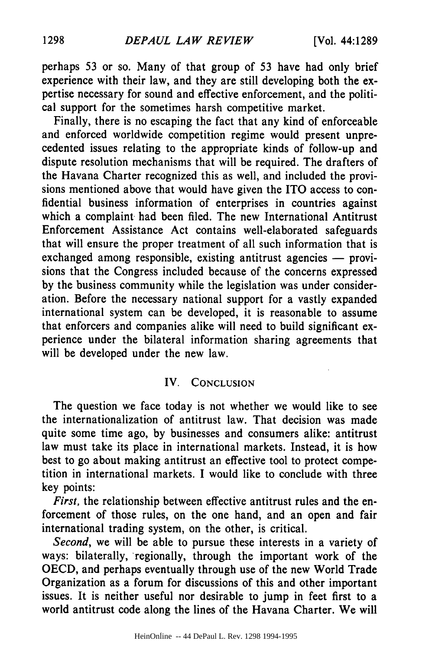perhaps 53 or so. Many of that group of 53 have had only brief experience with their law, and they are still developing both the expertise necessary for sound and effective enforcement, and the political support for the sometimes harsh competitive market.

Finally, there is no escaping the fact that any kind of enforceable and enforced worldwide competition regime would present unprecedented issues relating to the appropriate kinds of follow-up and dispute resolution mechanisms that will be required. The drafters of the Havana Charter recognized this as well, and included the provisions mentioned above that would have given the ITO access to confidential business information of enterprises in countries against which a complaint had been filed. The new International Antitrust Enforcement Assistance Act contains well-elaborated safeguards that will ensure the proper treatment of all such information that is exchanged among responsible, existing antitrust agencies  $-$  provisions that the Congress included because of the concerns expressed by the business community while the legislation was under consideration. Before the necessary national support for a vastly expanded international system can be developed, it is reasonable to assume that enforcers and companies alike will need to build significant experience under the bilateral information sharing agreements that will be developed under the new law.

#### IV. **CONCLUSION**

The question we face today is not whether we would like to see the internationalization of antitrust law. That decision was made quite some time ago, **by** businesses and consumers alike: antitrust law must take its place in international markets. Instead, it is how best to go about making antitrust an effective tool to protect competition in international markets. I would like to conclude with three key points:

*First,* the relationship between effective antitrust rules and the enforcement of those rules, on the one hand, and an open and fair international trading system, on the other, is critical.

*Second,* we will be able to pursue these interests in a variety of ways: bilaterally, 'regionally, through the important work of the OECD, and perhaps eventually through use of the new World Trade Organization as a forum for discussions of this and other important issues. It is neither useful nor desirable to jump in feet first to a world antitrust code along the lines of the Havana Charter. We will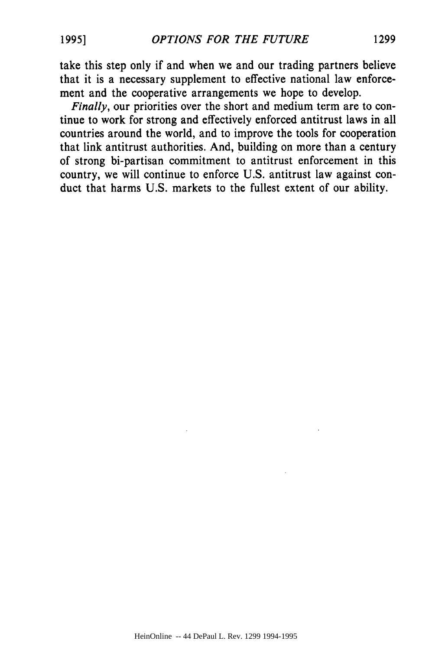take this step only if and when we and our trading partners believe that it is a necessary supplement to effective national law enforcement and the cooperative arrangements we hope to develop.

*Finally, our priorities over the short and medium term are to con*tinue to work for strong and effectively enforced antitrust laws in all countries around the world, and to improve the tools for cooperation that link antitrust authorities. And, building on more than a century of strong bi-partisan commitment to antitrust enforcement in this country, we will continue to enforce U.S. antitrust law against conduct that harms U.S. markets to the fullest extent of our ability.